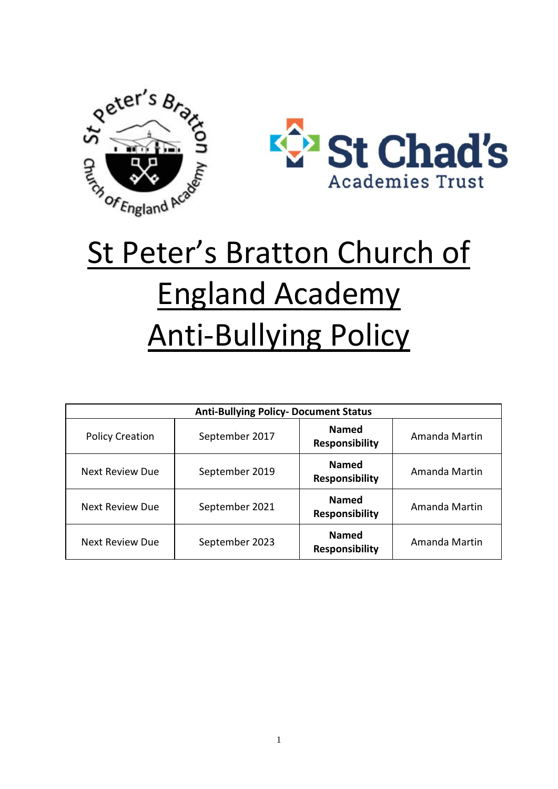



# St Peter's Bratton Church of England Academy Anti-Bullying Policy

| <b>Anti-Bullying Policy- Document Status</b> |                |                                       |               |
|----------------------------------------------|----------------|---------------------------------------|---------------|
| <b>Policy Creation</b>                       | September 2017 | <b>Named</b><br><b>Responsibility</b> | Amanda Martin |
| <b>Next Review Due</b>                       | September 2019 | <b>Named</b><br><b>Responsibility</b> | Amanda Martin |
| Next Review Due                              | September 2021 | <b>Named</b><br><b>Responsibility</b> | Amanda Martin |
| <b>Next Review Due</b>                       | September 2023 | <b>Named</b><br><b>Responsibility</b> | Amanda Martin |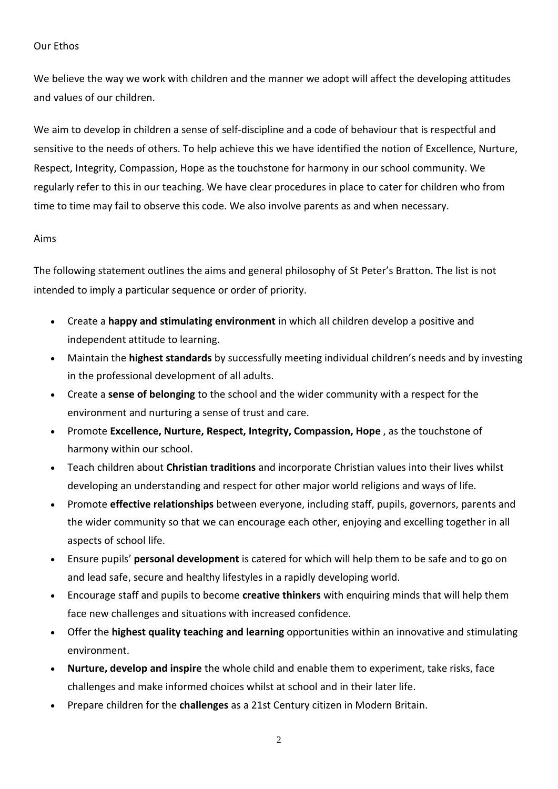#### Our Ethos

We believe the way we work with children and the manner we adopt will affect the developing attitudes and values of our children.

We aim to develop in children a sense of self-discipline and a code of behaviour that is respectful and sensitive to the needs of others. To help achieve this we have identified the notion of Excellence, Nurture, Respect, Integrity, Compassion, Hope as the touchstone for harmony in our school community. We regularly refer to this in our teaching. We have clear procedures in place to cater for children who from time to time may fail to observe this code. We also involve parents as and when necessary.

#### Aims

The following statement outlines the aims and general philosophy of St Peter's Bratton. The list is not intended to imply a particular sequence or order of priority.

- Create a **happy and stimulating environment** in which all children develop a positive and independent attitude to learning.
- Maintain the **highest standards** by successfully meeting individual children's needs and by investing in the professional development of all adults.
- Create a **sense of belonging** to the school and the wider community with a respect for the environment and nurturing a sense of trust and care.
- Promote **Excellence, Nurture, Respect, Integrity, Compassion, Hope** , as the touchstone of harmony within our school.
- Teach children about **Christian traditions** and incorporate Christian values into their lives whilst developing an understanding and respect for other major world religions and ways of life.
- Promote **effective relationships** between everyone, including staff, pupils, governors, parents and the wider community so that we can encourage each other, enjoying and excelling together in all aspects of school life.
- Ensure pupils' **personal development** is catered for which will help them to be safe and to go on and lead safe, secure and healthy lifestyles in a rapidly developing world.
- Encourage staff and pupils to become **creative thinkers** with enquiring minds that will help them face new challenges and situations with increased confidence.
- Offer the **highest quality teaching and learning** opportunities within an innovative and stimulating environment.
- **Nurture, develop and inspire** the whole child and enable them to experiment, take risks, face challenges and make informed choices whilst at school and in their later life.
- Prepare children for the **challenges** as a 21st Century citizen in Modern Britain.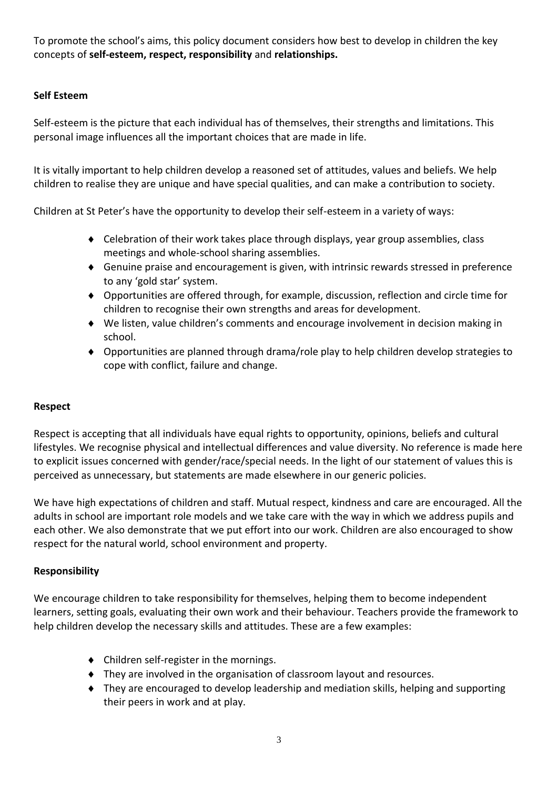To promote the school's aims, this policy document considers how best to develop in children the key concepts of **self-esteem, respect, responsibility** and **relationships.**

# **Self Esteem**

Self-esteem is the picture that each individual has of themselves, their strengths and limitations. This personal image influences all the important choices that are made in life.

It is vitally important to help children develop a reasoned set of attitudes, values and beliefs. We help children to realise they are unique and have special qualities, and can make a contribution to society.

Children at St Peter's have the opportunity to develop their self-esteem in a variety of ways:

- Celebration of their work takes place through displays, year group assemblies, class meetings and whole-school sharing assemblies.
- Genuine praise and encouragement is given, with intrinsic rewards stressed in preference to any 'gold star' system.
- Opportunities are offered through, for example, discussion, reflection and circle time for children to recognise their own strengths and areas for development.
- We listen, value children's comments and encourage involvement in decision making in school.
- Opportunities are planned through drama/role play to help children develop strategies to cope with conflict, failure and change.

#### **Respect**

Respect is accepting that all individuals have equal rights to opportunity, opinions, beliefs and cultural lifestyles. We recognise physical and intellectual differences and value diversity. No reference is made here to explicit issues concerned with gender/race/special needs. In the light of our statement of values this is perceived as unnecessary, but statements are made elsewhere in our generic policies.

We have high expectations of children and staff. Mutual respect, kindness and care are encouraged. All the adults in school are important role models and we take care with the way in which we address pupils and each other. We also demonstrate that we put effort into our work. Children are also encouraged to show respect for the natural world, school environment and property.

#### **Responsibility**

We encourage children to take responsibility for themselves, helping them to become independent learners, setting goals, evaluating their own work and their behaviour. Teachers provide the framework to help children develop the necessary skills and attitudes. These are a few examples:

- Children self-register in the mornings.
- They are involved in the organisation of classroom layout and resources.
- They are encouraged to develop leadership and mediation skills, helping and supporting their peers in work and at play.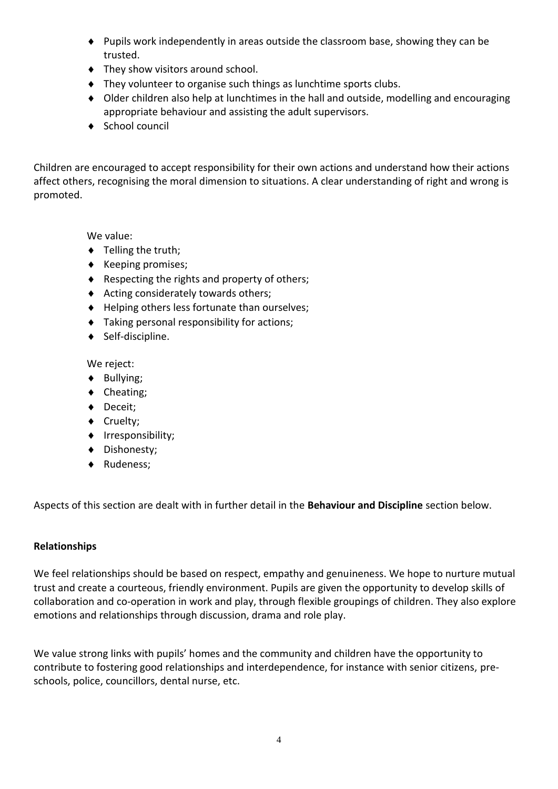- Pupils work independently in areas outside the classroom base, showing they can be trusted.
- $\bullet$  They show visitors around school.
- $\bullet$  They volunteer to organise such things as lunchtime sports clubs.
- Older children also help at lunchtimes in the hall and outside, modelling and encouraging appropriate behaviour and assisting the adult supervisors.
- $\triangleleft$  School council

Children are encouraged to accept responsibility for their own actions and understand how their actions affect others, recognising the moral dimension to situations. A clear understanding of right and wrong is promoted.

We value:

- $\bullet$  Telling the truth;
- $\triangleleft$  Keeping promises;
- $\triangle$  Respecting the rights and property of others;
- $\triangleleft$  Acting considerately towards others;
- ◆ Helping others less fortunate than ourselves;
- Taking personal responsibility for actions;
- ◆ Self-discipline.

We reject:

- ◆ Bullying;
- ◆ Cheating;
- ◆ Deceit;
- ◆ Cruelty;
- Irresponsibility;
- ◆ Dishonesty;
- ◆ Rudeness;

Aspects of this section are dealt with in further detail in the **Behaviour and Discipline** section below.

#### **Relationships**

We feel relationships should be based on respect, empathy and genuineness. We hope to nurture mutual trust and create a courteous, friendly environment. Pupils are given the opportunity to develop skills of collaboration and co-operation in work and play, through flexible groupings of children. They also explore emotions and relationships through discussion, drama and role play.

We value strong links with pupils' homes and the community and children have the opportunity to contribute to fostering good relationships and interdependence, for instance with senior citizens, preschools, police, councillors, dental nurse, etc.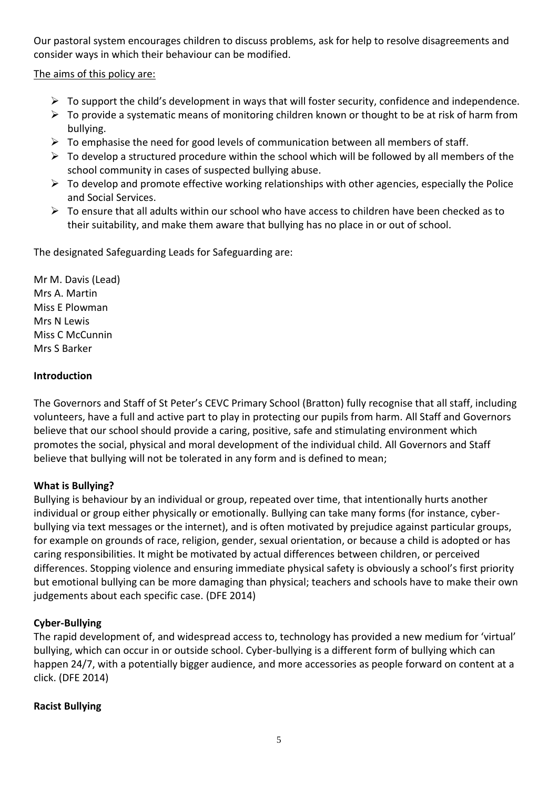Our pastoral system encourages children to discuss problems, ask for help to resolve disagreements and consider ways in which their behaviour can be modified.

The aims of this policy are:

- $\triangleright$  To support the child's development in ways that will foster security, confidence and independence.
- ➢ To provide a systematic means of monitoring children known or thought to be at risk of harm from bullying.
- $\triangleright$  To emphasise the need for good levels of communication between all members of staff.
- $\triangleright$  To develop a structured procedure within the school which will be followed by all members of the school community in cases of suspected bullying abuse.
- $\triangleright$  To develop and promote effective working relationships with other agencies, especially the Police and Social Services.
- ➢ To ensure that all adults within our school who have access to children have been checked as to their suitability, and make them aware that bullying has no place in or out of school.

The designated Safeguarding Leads for Safeguarding are:

Mr M. Davis (Lead) Mrs A. Martin Miss E Plowman Mrs N Lewis Miss C McCunnin Mrs S Barker

# **Introduction**

The Governors and Staff of St Peter's CEVC Primary School (Bratton) fully recognise that all staff, including volunteers, have a full and active part to play in protecting our pupils from harm. All Staff and Governors believe that our school should provide a caring, positive, safe and stimulating environment which promotes the social, physical and moral development of the individual child. All Governors and Staff believe that bullying will not be tolerated in any form and is defined to mean;

# **What is Bullying?**

Bullying is behaviour by an individual or group, repeated over time, that intentionally hurts another individual or group either physically or emotionally. Bullying can take many forms (for instance, cyberbullying via text messages or the internet), and is often motivated by prejudice against particular groups, for example on grounds of race, religion, gender, sexual orientation, or because a child is adopted or has caring responsibilities. It might be motivated by actual differences between children, or perceived differences. Stopping violence and ensuring immediate physical safety is obviously a school's first priority but emotional bullying can be more damaging than physical; teachers and schools have to make their own judgements about each specific case. (DFE 2014)

# **Cyber-Bullying**

The rapid development of, and widespread access to, technology has provided a new medium for 'virtual' bullying, which can occur in or outside school. Cyber-bullying is a different form of bullying which can happen 24/7, with a potentially bigger audience, and more accessories as people forward on content at a click. (DFE 2014)

# **Racist Bullying**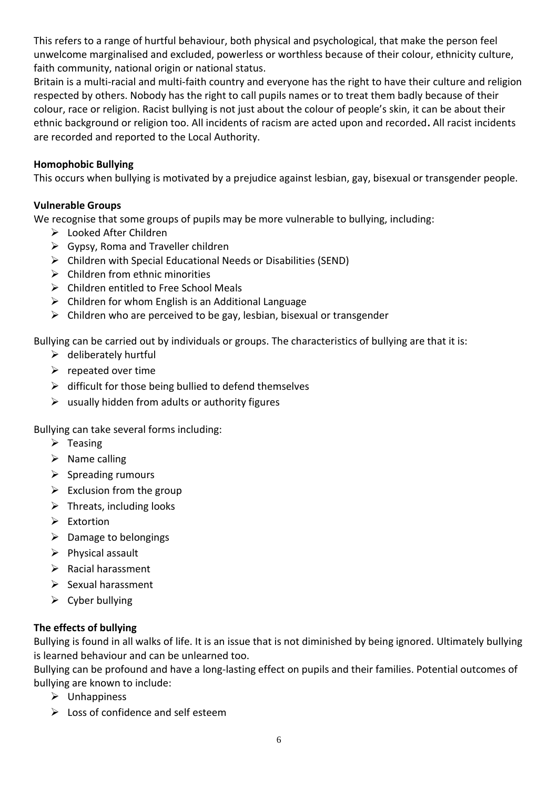This refers to a range of hurtful behaviour, both physical and psychological, that make the person feel unwelcome marginalised and excluded, powerless or worthless because of their colour, ethnicity culture, faith community, national origin or national status.

Britain is a multi-racial and multi-faith country and everyone has the right to have their culture and religion respected by others. Nobody has the right to call pupils names or to treat them badly because of their colour, race or religion. Racist bullying is not just about the colour of people's skin, it can be about their ethnic background or religion too. All incidents of racism are acted upon and recorded**.** All racist incidents are recorded and reported to the Local Authority.

#### **Homophobic Bullying**

This occurs when bullying is motivated by a prejudice against lesbian, gay, bisexual or transgender people.

### **Vulnerable Groups**

We recognise that some groups of pupils may be more vulnerable to bullying, including:

- ➢ Looked After Children
- $\triangleright$  Gypsy, Roma and Traveller children
- ➢ Children with Special Educational Needs or Disabilities (SEND)
- $\triangleright$  Children from ethnic minorities
- ➢ Children entitled to Free School Meals
- $\triangleright$  Children for whom English is an Additional Language
- $\triangleright$  Children who are perceived to be gay, lesbian, bisexual or transgender

Bullying can be carried out by individuals or groups. The characteristics of bullying are that it is:

- $\triangleright$  deliberately hurtful
- $\triangleright$  repeated over time
- $\triangleright$  difficult for those being bullied to defend themselves
- $\triangleright$  usually hidden from adults or authority figures

Bullying can take several forms including:

- $\triangleright$  Teasing
- $\triangleright$  Name calling
- $\triangleright$  Spreading rumours
- $\triangleright$  Exclusion from the group
- $\triangleright$  Threats, including looks
- ➢ Extortion
- ➢ Damage to belongings
- $\triangleright$  Physical assault
- ➢ Racial harassment
- ➢ Sexual harassment
- $\triangleright$  Cyber bullying

#### **The effects of bullying**

Bullying is found in all walks of life. It is an issue that is not diminished by being ignored. Ultimately bullying is learned behaviour and can be unlearned too.

Bullying can be profound and have a long-lasting effect on pupils and their families. Potential outcomes of bullying are known to include:

- ➢ Unhappiness
- $\triangleright$  Loss of confidence and self esteem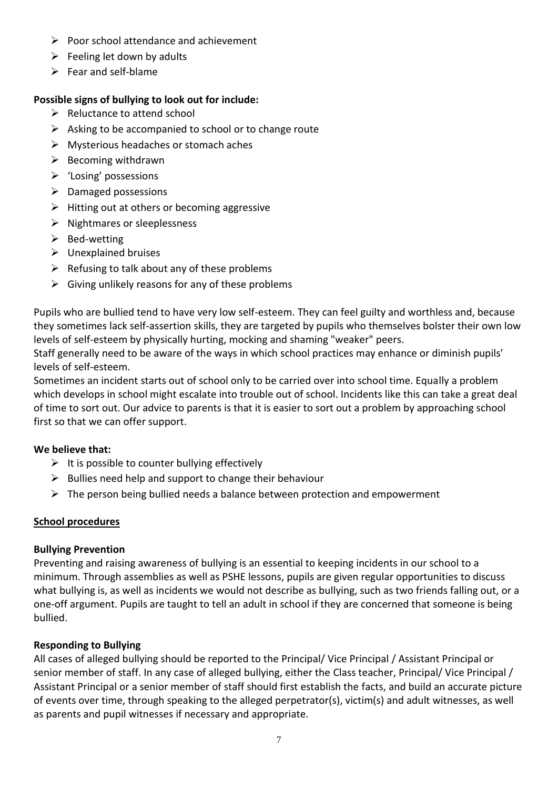- ➢ Poor school attendance and achievement
- $\triangleright$  Feeling let down by adults
- $\triangleright$  Fear and self-blame

# **Possible signs of bullying to look out for include:**

- $\triangleright$  Reluctance to attend school
- $\triangleright$  Asking to be accompanied to school or to change route
- ➢ Mysterious headaches or stomach aches
- $\triangleright$  Becoming withdrawn
- ➢ 'Losing' possessions
- $\triangleright$  Damaged possessions
- $\triangleright$  Hitting out at others or becoming aggressive
- ➢ Nightmares or sleeplessness
- $\triangleright$  Bed-wetting
- $\triangleright$  Unexplained bruises
- $\triangleright$  Refusing to talk about any of these problems
- $\triangleright$  Giving unlikely reasons for any of these problems

Pupils who are bullied tend to have very low self-esteem. They can feel guilty and worthless and, because they sometimes lack self-assertion skills, they are targeted by pupils who themselves bolster their own low levels of self-esteem by physically hurting, mocking and shaming "weaker" peers.

Staff generally need to be aware of the ways in which school practices may enhance or diminish pupils' levels of self-esteem.

Sometimes an incident starts out of school only to be carried over into school time. Equally a problem which develops in school might escalate into trouble out of school. Incidents like this can take a great deal of time to sort out. Our advice to parents is that it is easier to sort out a problem by approaching school first so that we can offer support.

# **We believe that:**

- $\triangleright$  It is possible to counter bullying effectively
- $\triangleright$  Bullies need help and support to change their behaviour
- $\triangleright$  The person being bullied needs a balance between protection and empowerment

# **School procedures**

# **Bullying Prevention**

Preventing and raising awareness of bullying is an essential to keeping incidents in our school to a minimum. Through assemblies as well as PSHE lessons, pupils are given regular opportunities to discuss what bullying is, as well as incidents we would not describe as bullying, such as two friends falling out, or a one-off argument. Pupils are taught to tell an adult in school if they are concerned that someone is being bullied.

# **Responding to Bullying**

All cases of alleged bullying should be reported to the Principal/ Vice Principal / Assistant Principal or senior member of staff. In any case of alleged bullying, either the Class teacher, Principal/ Vice Principal / Assistant Principal or a senior member of staff should first establish the facts, and build an accurate picture of events over time, through speaking to the alleged perpetrator(s), victim(s) and adult witnesses, as well as parents and pupil witnesses if necessary and appropriate.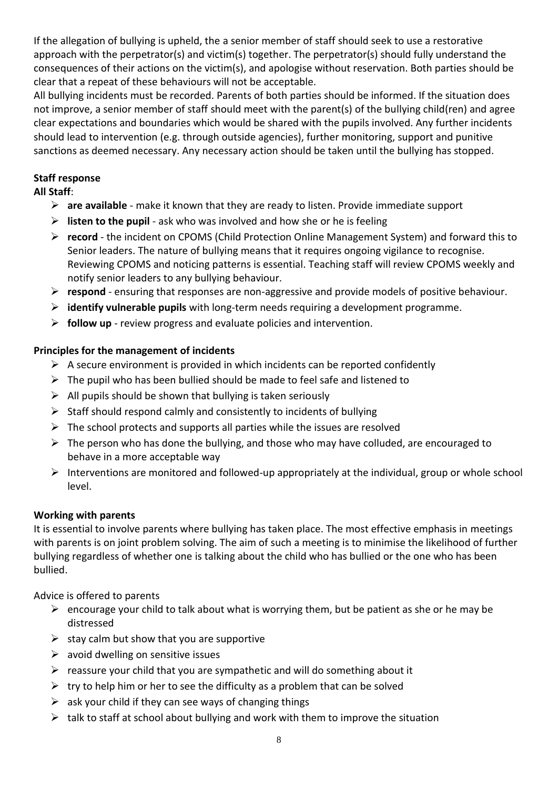If the allegation of bullying is upheld, the a senior member of staff should seek to use a restorative approach with the perpetrator(s) and victim(s) together. The perpetrator(s) should fully understand the consequences of their actions on the victim(s), and apologise without reservation. Both parties should be clear that a repeat of these behaviours will not be acceptable.

All bullying incidents must be recorded. Parents of both parties should be informed. If the situation does not improve, a senior member of staff should meet with the parent(s) of the bullying child(ren) and agree clear expectations and boundaries which would be shared with the pupils involved. Any further incidents should lead to intervention (e.g. through outside agencies), further monitoring, support and punitive sanctions as deemed necessary. Any necessary action should be taken until the bullying has stopped.

#### **Staff response All Staff**:

- ➢ **are available**  make it known that they are ready to listen. Provide immediate support
- ➢ **listen to the pupil**  ask who was involved and how she or he is feeling
- ➢ **record**  the incident on CPOMS (Child Protection Online Management System) and forward this to Senior leaders. The nature of bullying means that it requires ongoing vigilance to recognise. Reviewing CPOMS and noticing patterns is essential. Teaching staff will review CPOMS weekly and notify senior leaders to any bullying behaviour.
- ➢ **respond**  ensuring that responses are non-aggressive and provide models of positive behaviour.
- ➢ **identify vulnerable pupils** with long-term needs requiring a development programme.
- ➢ **follow up**  review progress and evaluate policies and intervention.

#### **Principles for the management of incidents**

- $\triangleright$  A secure environment is provided in which incidents can be reported confidently
- $\triangleright$  The pupil who has been bullied should be made to feel safe and listened to
- $\triangleright$  All pupils should be shown that bullying is taken seriously
- $\triangleright$  Staff should respond calmly and consistently to incidents of bullying
- $\triangleright$  The school protects and supports all parties while the issues are resolved
- $\triangleright$  The person who has done the bullying, and those who may have colluded, are encouraged to behave in a more acceptable way
- $\triangleright$  Interventions are monitored and followed-up appropriately at the individual, group or whole school level.

#### **Working with parents**

It is essential to involve parents where bullying has taken place. The most effective emphasis in meetings with parents is on joint problem solving. The aim of such a meeting is to minimise the likelihood of further bullying regardless of whether one is talking about the child who has bullied or the one who has been bullied.

Advice is offered to parents

- $\triangleright$  encourage your child to talk about what is worrying them, but be patient as she or he may be distressed
- $\triangleright$  stay calm but show that you are supportive
- $\triangleright$  avoid dwelling on sensitive issues
- $\triangleright$  reassure your child that you are sympathetic and will do something about it
- $\triangleright$  try to help him or her to see the difficulty as a problem that can be solved
- $\triangleright$  ask your child if they can see ways of changing things
- $\triangleright$  talk to staff at school about bullying and work with them to improve the situation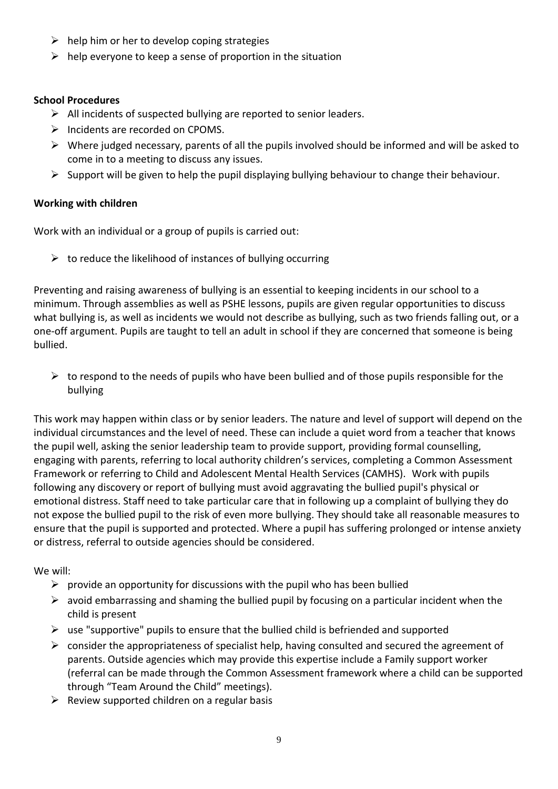- $\triangleright$  help him or her to develop coping strategies
- $\triangleright$  help everyone to keep a sense of proportion in the situation

#### **School Procedures**

- $\triangleright$  All incidents of suspected bullying are reported to senior leaders.
- ➢ Incidents are recorded on CPOMS.
- ➢ Where judged necessary, parents of all the pupils involved should be informed and will be asked to come in to a meeting to discuss any issues.
- $\triangleright$  Support will be given to help the pupil displaying bullying behaviour to change their behaviour.

# **Working with children**

Work with an individual or a group of pupils is carried out:

 $\triangleright$  to reduce the likelihood of instances of bullying occurring

Preventing and raising awareness of bullying is an essential to keeping incidents in our school to a minimum. Through assemblies as well as PSHE lessons, pupils are given regular opportunities to discuss what bullying is, as well as incidents we would not describe as bullying, such as two friends falling out, or a one-off argument. Pupils are taught to tell an adult in school if they are concerned that someone is being bullied.

 $\triangleright$  to respond to the needs of pupils who have been bullied and of those pupils responsible for the bullying

This work may happen within class or by senior leaders. The nature and level of support will depend on the individual circumstances and the level of need. These can include a quiet word from a teacher that knows the pupil well, asking the senior leadership team to provide support, providing formal counselling, engaging with parents, referring to local authority children's services, completing a Common Assessment Framework or referring to Child and Adolescent Mental Health Services (CAMHS). Work with pupils following any discovery or report of bullying must avoid aggravating the bullied pupil's physical or emotional distress. Staff need to take particular care that in following up a complaint of bullying they do not expose the bullied pupil to the risk of even more bullying. They should take all reasonable measures to ensure that the pupil is supported and protected. Where a pupil has suffering prolonged or intense anxiety or distress, referral to outside agencies should be considered.

# We will:

- $\triangleright$  provide an opportunity for discussions with the pupil who has been bullied
- $\triangleright$  avoid embarrassing and shaming the bullied pupil by focusing on a particular incident when the child is present
- $\triangleright$  use "supportive" pupils to ensure that the bullied child is befriended and supported
- $\triangleright$  consider the appropriateness of specialist help, having consulted and secured the agreement of parents. Outside agencies which may provide this expertise include a Family support worker (referral can be made through the Common Assessment framework where a child can be supported through "Team Around the Child" meetings).
- $\triangleright$  Review supported children on a regular basis